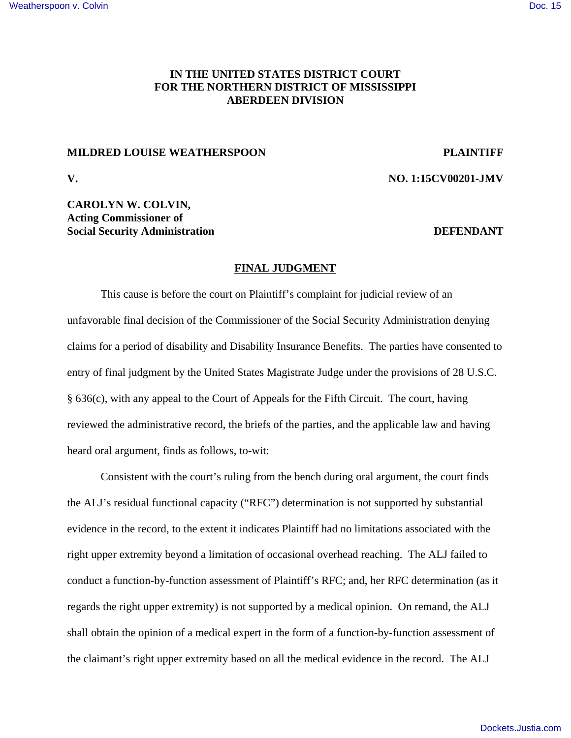## **IN THE UNITED STATES DISTRICT COURT FOR THE NORTHERN DISTRICT OF MISSISSIPPI ABERDEEN DIVISION**

### **MILDRED LOUISE WEATHERSPOON PLAINTIFF**

**V. NO. 1:15CV00201-JMV**

## **CAROLYN W. COLVIN, Acting Commissioner of Social Security Administration DEFENDANT**

### **FINAL JUDGMENT**

This cause is before the court on Plaintiff's complaint for judicial review of an unfavorable final decision of the Commissioner of the Social Security Administration denying claims for a period of disability and Disability Insurance Benefits. The parties have consented to entry of final judgment by the United States Magistrate Judge under the provisions of 28 U.S.C. § 636(c), with any appeal to the Court of Appeals for the Fifth Circuit. The court, having reviewed the administrative record, the briefs of the parties, and the applicable law and having heard oral argument, finds as follows, to-wit:

Consistent with the court's ruling from the bench during oral argument, the court finds the ALJ's residual functional capacity ("RFC") determination is not supported by substantial evidence in the record, to the extent it indicates Plaintiff had no limitations associated with the right upper extremity beyond a limitation of occasional overhead reaching. The ALJ failed to conduct a function-by-function assessment of Plaintiff's RFC; and, her RFC determination (as it regards the right upper extremity) is not supported by a medical opinion. On remand, the ALJ shall obtain the opinion of a medical expert in the form of a function-by-function assessment of the claimant's right upper extremity based on all the medical evidence in the record. The ALJ